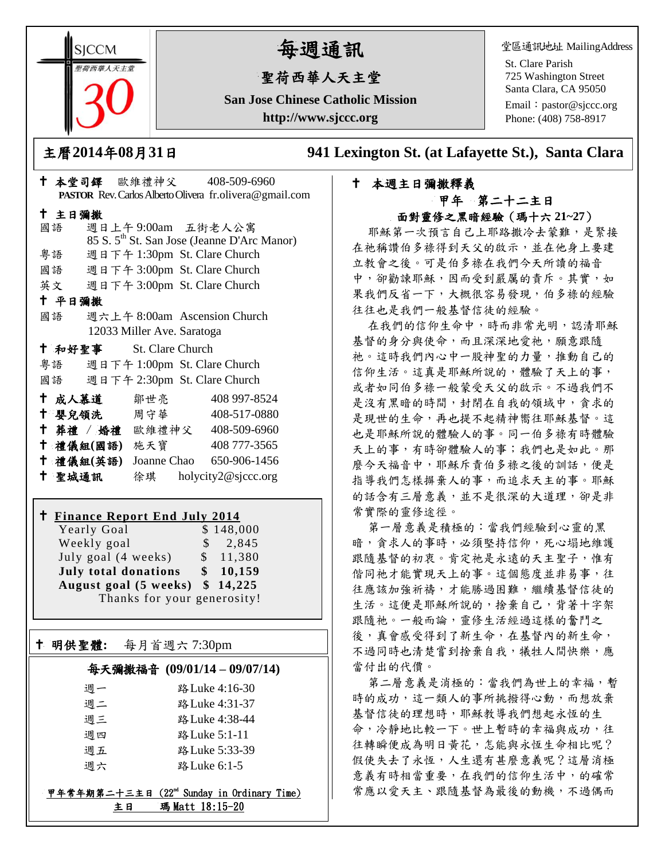**SICCM** 智荷西華人天主堂

# 每週通訊

## 聖荷西華人天主堂

**San Jose Chinese Catholic Mission http://www.sjccc.org**

堂區通訊地址 MailingAddress

St. Clare Parish 725 Washington Street Santa Clara, CA 95050

Email: [pastor@sjccc.org](mailto:pastor@sjccc.org) Phone: (408) 758-8917

主曆**2014**年**08**月**31**日 **941 Lexington St. (at Lafayette St.), Santa Clara** 

### 本週主日彌撒釋義 甲年 第二十二主日 面對靈修之黑暗經驗(瑪十六 **21~27**)

耶穌第一次預言自己上耶路撒冷去蒙難,是緊接 在祂稱讚伯多祿得到天父的啟示,並在他身上要建 立教會之後。可是伯多祿在我們今天所讀的福音 中,卻勸諫耶穌,因而受到嚴厲的責斥。其實,如 果我們反省一下,大概很容易發現,伯多祿的經驗 往往也是我們一般基督信徒的經驗。

在我們的信仰生命中,時而非常光明,認清耶穌 基督的身分與使命,而且深深地愛祂,願意跟隨 祂。這時我們內心中一股神聖的力量,推動自己的 信仰生活。這真是耶穌所說的,體驗了天上的事, 或者如同伯多祿一般蒙受天父的啟示。不過我們不 是沒有黑暗的時間,封閉在自我的領域中,貪求的 是現世的生命,再也提不起精神嚮往耶穌基督。這 也是耶穌所說的體驗人的事。同一伯多祿有時體驗 天上的事,有時卻體驗人的事;我們也是如此。那 麼今天福音中,耶穌斥責伯多祿之後的訓話,便是 指導我們怎樣摒棄人的事,而追求天主的事。耶穌 的話含有三層意義,並不是很深的大道理,卻是非 常實際的靈修途徑。

第一層意義是積極的:當我們經驗到心靈的黑 暗,貪求人的事時,必須堅持信仰,死心塌地維護 跟隨基督的初衷。肯定祂是永遠的天主聖子,惟有 偕同祂才能實現天上的事。這個態度並非易事,往 往應該加強祈禱,才能勝過困難,繼續基督信徒的 生活。這便是耶穌所說的,捨棄自己,背著十字架 跟隨祂。一般而論,靈修生活經過這樣的奮鬥之 後,真會感受得到了新生命,在基督內的新生命, 不過同時也清楚嘗到捨棄自我,犧牲人間快樂,應 當付出的代價。

第二層意義是消極的:當我們為世上的幸福,暫 時的成功,這一類人的事所挑撥得心動,而想放棄 基督信徒的理想時,耶穌教導我們想起永恆的生 命,冷靜地比較一下。世上暫時的幸福與成功,往 往轉瞬便成為明日黃花,怎能與永恆生命相比呢? 假使失去了永恆,人生還有甚麼意義呢?這層消極 意義有時相當重要,在我們的信仰生活中,的確常 常應以愛天主、跟隨基督為最後的動機,不過偶而

| PASTOR Rev. Carlos Alberto Olivera fr.olivera@gmail.com |                              |                                                         |  |
|---------------------------------------------------------|------------------------------|---------------------------------------------------------|--|
| 十 主日彌撒                                                  |                              |                                                         |  |
| 國語 週日上午9:00am 五街老人公寓                                    |                              |                                                         |  |
|                                                         |                              | 85 S. 5 <sup>th</sup> St. San Jose (Jeanne D'Arc Manor) |  |
| 粤語                                                      | 週日下午 1:30pm St. Clare Church |                                                         |  |
| 國語 週日下午 3:00pm St. Clare Church                         |                              |                                                         |  |
| 英文 週日下午 3:00pm St. Clare Church                         |                              |                                                         |  |
| 十 平日彌撒                                                  |                              |                                                         |  |
| 國語                                                      | 週六上午 8:00am Ascension Church |                                                         |  |
| 12033 Miller Ave. Saratoga                              |                              |                                                         |  |
| <sup>†</sup> 和好聖事 St. Clare Church                      |                              |                                                         |  |
| 粤語 週日下午 1:00pm St. Clare Church                         |                              |                                                         |  |
| 國語 週日下午 2:30pm St. Clare Church                         |                              |                                                         |  |
| † 成人慕道   鄒世亮                                            |                              | 408 997-8524                                            |  |
| † 嬰兒領洗   周守華 │                                          |                              | 408-517-0880                                            |  |
| † 葬禮 / 婚禮 歐維禮神父 408-509-6960                            |                              |                                                         |  |
| 十 禮儀組(國語) 施天寶                                           |                              | 408 777-3565                                            |  |
| 十 禮儀組(英語)                                               |                              | Joanne Chao 650-906-1456                                |  |
| 十 聖城通訊                                                  |                              | 徐琪 holycity2@sjccc.org                                  |  |

本堂司鐸 歐維禮神父 408-509-6960

#### **Finance Report End July 2014**

Yearly Goal \$148,000 Weekly goal  $\qquad$  \$ 2,845 July goal  $(4 \text{ weeks})$  \$ 11,380 **July total donations \$ 10,159 August goal (5 weeks) \$ 14,225** Thanks for your generosity!

#### 明供聖體**:** 每月首週六 7:30pm

Ξ

#### 每天彌撒福音 **(09/01/14 – 09/07/14)**

| 调一 | 路 Luke 4:16-30 |
|----|----------------|
| 调二 | 路 Luke 4:31-37 |
| 调三 | 路 Luke 4:38-44 |
| 週四 | 路 Luke 5:1-11  |
| 週五 | 路 Luke 5:33-39 |
| 调六 | 路 Luke 6:1-5   |
|    |                |

#### 甲年常年期第二十三主日 (22nd Sunday in Ordinary Time) 主日 瑪 Matt 18:15-20